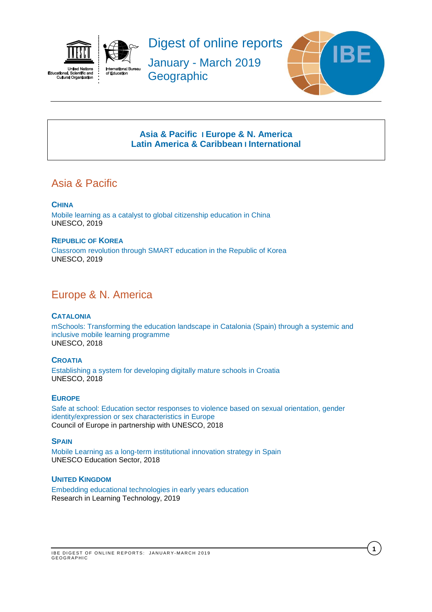<span id="page-0-2"></span>



Digest of online reports

January - March 2019 **Geographic** 



**1**

# **[Asia & Pacific](#page-0-0) I [Europe & N. America](#page-0-1) [Latin America](#page-1-0) & Caribbean I [International](#page-1-1)**

# <span id="page-0-0"></span>Asia & Pacific

# **CHINA**

[Mobile learning as a catalyst to global citizenship education in China](https://unesdoc.unesco.org/ark:/48223/pf0000366725) UNESCO, 2019

## **REPUBLIC OF KOREA**

[Classroom revolution through SMART education in the Republic of Korea](https://unesdoc.unesco.org/ark:/48223/pf0000366729)  UNESCO, 2019

# <span id="page-0-1"></span>Europe & N. America

### **CATALONIA**

[mSchools: Transforming the education landscape in Catalonia \(Spain\) through a systemic and](https://unesdoc.unesco.org/ark:/48223/pf0000366726)  [inclusive mobile learning programme](https://unesdoc.unesco.org/ark:/48223/pf0000366726)  UNESCO, 2018

#### **CROATIA** [Establishing a system for developing digitally mature schools in Croatia](https://unesdoc.unesco.org/ark:/48223/pf0000366727) UNESCO, 2018

### **EUROPE**

[Safe at school: Education sector responses to violence based on sexual orientation, gender](https://rm.coe.int/prems-125718-gbr-2575-safe-at-school-a4-web/16809024f5)  [identity/expression or sex characteristics in Europe](https://rm.coe.int/prems-125718-gbr-2575-safe-at-school-a4-web/16809024f5) Council of Europe in partnership with UNESCO, 2018

### **SPAIN**

Mobile Learning as a [long-term institutional innovation strategy in Spain](https://unesdoc.unesco.org/ark:/48223/pf0000366323?posInSet=3&queryId=b285cb70-b8c3-46f7-ae10-976b54930e25) UNESCO Education Sector, 2018

### **UNITED KINGDOM**

[Embedding educational technologies in early years education](https://journal.alt.ac.uk/index.php/rlt/article/view/2033/pdf) Research in Learning Technology, 2019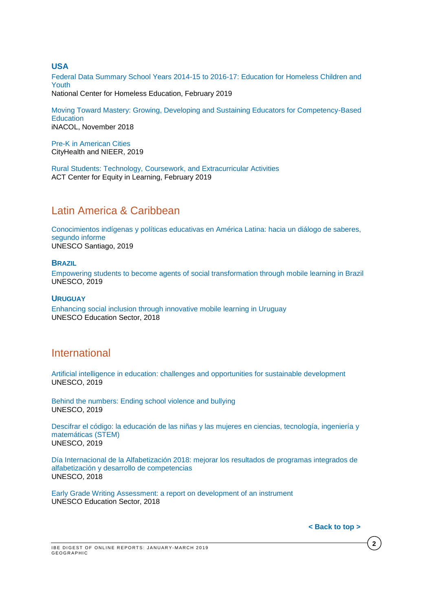### **USA**

[Federal Data Summary School Years 2014-15 to 2016-17: Education for Homeless Children and](https://nche.ed.gov/wp-content/uploads/2019/02/Federal-Data-Summary-SY-14.15-to-16.17-Final-Published-2.12.19.pdf)  [Youth](https://nche.ed.gov/wp-content/uploads/2019/02/Federal-Data-Summary-SY-14.15-to-16.17-Final-Published-2.12.19.pdf) National Center for Homeless Education, February 2019

[Moving Toward Mastery: Growing, Developing and Sustaining Educators for Competency-Based](https://www.inacol.org/wp-content/uploads/2018/11/Moving-Toward-Mastery.pdf)  **[Education](https://www.inacol.org/wp-content/uploads/2018/11/Moving-Toward-Mastery.pdf)** iNACOL, November 2018

[Pre-K in American Cities](http://nieer.org/wp-content/uploads/2019/01/Pre-K-Report-Final.pdf) CityHealth and NIEER, 2019

[Rural Students: Technology, Coursework, and Extracurricular Activities](https://equityinlearning.act.org/wp-content/themes/voltron/img/tech-briefs/rural-students.pdf) ACT Center for Equity in Learning, February 2019

# <span id="page-1-0"></span>Latin America & Caribbean

[Conocimientos indígenas y políticas educativas en América Latina: hacia un diálogo de saberes,](https://unesdoc.unesco.org/ark:/48223/pf0000367168.locale=en)  [segundo informe](https://unesdoc.unesco.org/ark:/48223/pf0000367168.locale=en) UNESCO Santiago, 2019

### **BRAZIL**

[Empowering students to become agents of social transformation through mobile learning in Brazil](https://unesdoc.unesco.org/ark:/48223/pf0000366724)  UNESCO, 2019

#### **URUGUAY**

[Enhancing social inclusion through innovative mobile learning in Uruguay](https://unesdoc.unesco.org/ark:/48223/pf0000366324) UNESCO Education Sector, 2018

# <span id="page-1-1"></span>International

[Artificial intelligence in education: challenges and opportunities for sustainable development](https://unesdoc.unesco.org/ark:/48223/pf0000366994) UNESCO, 2019

[Behind the numbers: Ending school violence and bullying](https://unesdoc.unesco.org/ark:/48223/pf0000366483) UNESCO, 2019

Descifrar el código: la educación de las niñas y las mujeres en ciencias, tecnología, ingeniería y [matemáticas \(STEM\)](https://unesdoc.unesco.org/ark:/48223/pf0000366649) UNESCO, 2019

[Día Internacional de la Alfabetización 2018: mejorar los resultados de programas integrados de](https://unesdoc.unesco.org/ark:/48223/pf0000265586_spa)  [alfabetización y desarrollo de competencias](https://unesdoc.unesco.org/ark:/48223/pf0000265586_spa) UNESCO, 2018

[Early Grade Writing Assessment: a report on development of an instrument](https://unesdoc.unesco.org/ark:/48223/pf0000266277) UNESCO Education Sector, 2018

**< [Back](#page-0-2) to top >**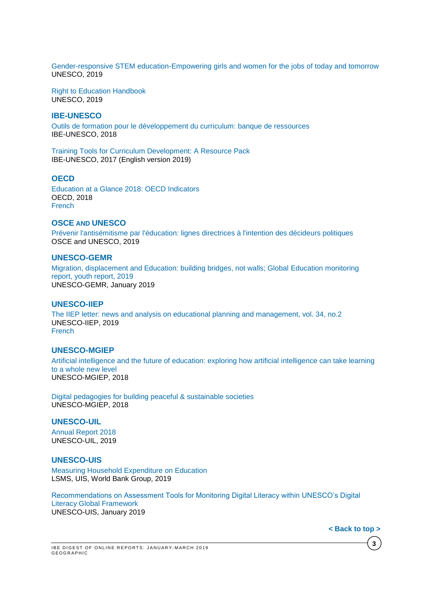[Gender-responsive STEM education-Empowering girls and women for the jobs](https://unesdoc.unesco.org/ark:/48223/pf0000366803) of today and tomorrow UNESCO, 2019

[Right to Education Handbook](https://unesdoc.unesco.org/ark:/48223/pf0000366556) UNESCO, 2019

#### **IBE-UNESCO**

[Outils de formation pour le développement du curriculum: banque de ressources](https://unesdoc.unesco.org/ark:/48223/pf0000250420_fre) IBE-UNESCO, 2018

[Training Tools for Curriculum Development: A Resource Pack](https://unesdoc.unesco.org/ark:/48223/pf0000250420_eng?posInSet=1&queryId=85d01ec9-d9de-4af9-a59c-21bd6a4b8fb0) IBE-UNESCO, 2017 (English version 2019)

#### **OECD**

[Education at a Glance 2018: OECD Indicators](https://www.oecd-ilibrary.org/education/education-at-a-glance-2018_eag-2018-en) OECD, 2018 [French](https://www.oecd-ilibrary.org/education/regard-sur-l-education-2018_eag-2018-fr;jsessionid=4r30CSgSCAfDN8OPc9IeOxOY.ip-10-240-5-151)

### **OSCE AND UNESCO**

[Prévenir l'antisémitisme par l'éducation: lignes directrices à l'intention des décideurs politiques](https://unesdoc.unesco.org/ark:/48223/pf0000366592) OSCE and UNESCO, 2019

#### **UNESCO-GEMR**

[Migration, displacement and Education: building bridges, not walls; Global](https://unesdoc.unesco.org/ark:/48223/pf0000266274) Education monitoring [report, youth report, 2019](https://unesdoc.unesco.org/ark:/48223/pf0000266274) UNESCO-GEMR, January 2019

#### **UNESCO-IIEP**

[The IIEP letter: news and analysis on educational planning and management, vol. 34, no.2](https://unesdoc.unesco.org/ark:/48223/pf0000366327)  UNESCO-IIEP, 2019 [French](https://unesdoc.unesco.org/ark:/48223/pf0000366327)

#### **UNESCO-MGIEP**

[Artificial intelligence and the future of education: exploring how artificial intelligence can take learning](https://unesdoc.unesco.org/ark:/48223/pf0000366389)  [to a whole new level](https://unesdoc.unesco.org/ark:/48223/pf0000366389) UNESCO-MGIEP, 2018

[Digital pedagogies for building peaceful & sustainable societies](https://unesdoc.unesco.org/ark:/48223/pf0000265758) UNESCO-MGIEP, 2018

#### **UNESCO-UIL**

[Annual Report 2018](http://uil.unesco.org/sites/default/files/doc/Info/uil_annual_report_2018.pdf) UNESCO-UIL, 2019

#### **UNESCO-UIS**

[Measuring Household Expenditure on Education](http://uis.unesco.org/sites/default/files/documents/measuring-household-expenditure-education-2018-en.pdf) LSMS, UIS, World Bank Group, 2019

[Recommendations on Assessment Tools for Monitoring Digital Literacy within UNESCO's Digital](http://uis.unesco.org/sites/default/files/documents/ip56-recommendations-assessment-tools-digital-literacy-2019-en.pdf)  [Literacy Global Framework](http://uis.unesco.org/sites/default/files/documents/ip56-recommendations-assessment-tools-digital-literacy-2019-en.pdf)  UNESCO-UIS, January 2019

**< [Back](#page-0-2) to top >**

**3**